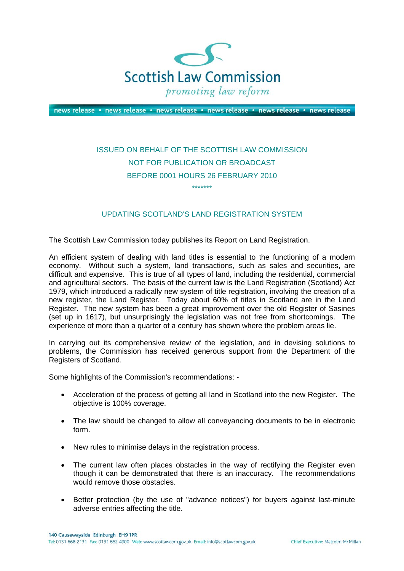

news release · news release · news release · news release · news release · news release

## ISSUED ON BEHALF OF THE SCOTTISH LAW COMMISSION NOT FOR PUBLICATION OR BROADCAST BEFORE 0001 HOURS 26 FEBRUARY 2010 \*\*\*\*\*\*\*

## UPDATING SCOTLAND'S LAND REGISTRATION SYSTEM

The Scottish Law Commission today publishes its Report on Land Registration.

An efficient system of dealing with land titles is essential to the functioning of a modern economy. Without such a system, land transactions, such as sales and securities, are difficult and expensive. This is true of all types of land, including the residential, commercial and agricultural sectors. The basis of the current law is the Land Registration (Scotland) Act 1979, which introduced a radically new system of title registration, involving the creation of a new register, the Land Register. Today about 60% of titles in Scotland are in the Land Register. The new system has been a great improvement over the old Register of Sasines (set up in 1617), but unsurprisingly the legislation was not free from shortcomings. The experience of more than a quarter of a century has shown where the problem areas lie.

In carrying out its comprehensive review of the legislation, and in devising solutions to problems, the Commission has received generous support from the Department of the Registers of Scotland.

Some highlights of the Commission's recommendations: -

- Acceleration of the process of getting all land in Scotland into the new Register. The objective is 100% coverage.
- The law should be changed to allow all conveyancing documents to be in electronic form.
- New rules to minimise delays in the registration process.
- The current law often places obstacles in the way of rectifying the Register even though it can be demonstrated that there is an inaccuracy. The recommendations would remove those obstacles.
- Better protection (by the use of "advance notices") for buyers against last-minute adverse entries affecting the title.